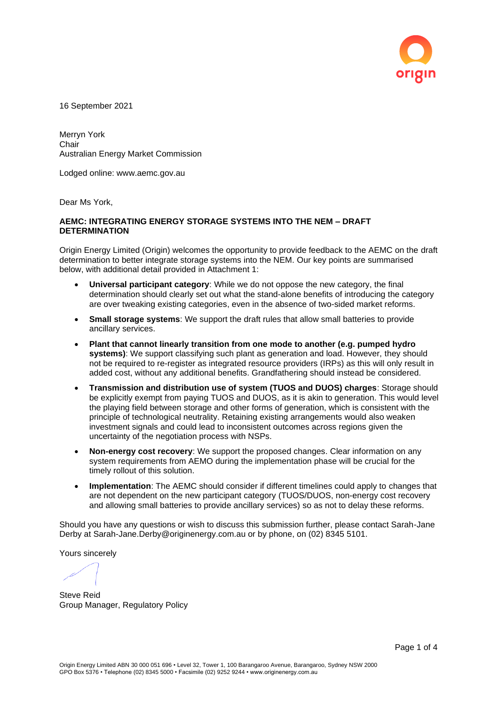

16 September 2021

Merryn York **Chair** Australian Energy Market Commission

Lodged online: www.aemc.gov.au

Dear Ms York,

## **AEMC: INTEGRATING ENERGY STORAGE SYSTEMS INTO THE NEM – DRAFT DETERMINATION**

Origin Energy Limited (Origin) welcomes the opportunity to provide feedback to the AEMC on the draft determination to better integrate storage systems into the NEM. Our key points are summarised below, with additional detail provided in Attachment 1:

- **Universal participant category**: While we do not oppose the new category, the final determination should clearly set out what the stand-alone benefits of introducing the category are over tweaking existing categories, even in the absence of two-sided market reforms.
- **Small storage systems**: We support the draft rules that allow small batteries to provide ancillary services.
- **Plant that cannot linearly transition from one mode to another (e.g. pumped hydro systems)**: We support classifying such plant as generation and load. However, they should not be required to re-register as integrated resource providers (IRPs) as this will only result in added cost, without any additional benefits. Grandfathering should instead be considered.
- **Transmission and distribution use of system (TUOS and DUOS) charges**: Storage should be explicitly exempt from paying TUOS and DUOS, as it is akin to generation. This would level the playing field between storage and other forms of generation, which is consistent with the principle of technological neutrality. Retaining existing arrangements would also weaken investment signals and could lead to inconsistent outcomes across regions given the uncertainty of the negotiation process with NSPs.
- **Non-energy cost recovery**: We support the proposed changes. Clear information on any system requirements from AEMO during the implementation phase will be crucial for the timely rollout of this solution.
- **Implementation**: The AEMC should consider if different timelines could apply to changes that are not dependent on the new participant category (TUOS/DUOS, non-energy cost recovery and allowing small batteries to provide ancillary services) so as not to delay these reforms.

Should you have any questions or wish to discuss this submission further, please contact Sarah-Jane Derby at Sarah-Jane.Derby@originenergy.com.au or by phone, on (02) 8345 5101.

Yours sincerely

Steve Reid Group Manager, Regulatory Policy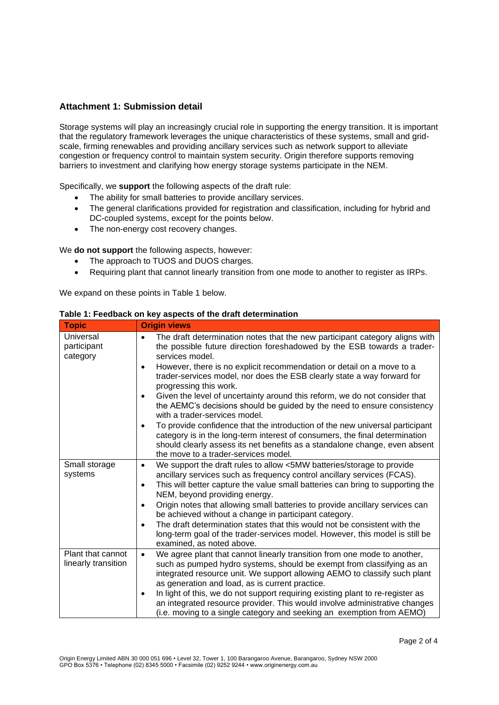## **Attachment 1: Submission detail**

Storage systems will play an increasingly crucial role in supporting the energy transition. It is important that the regulatory framework leverages the unique characteristics of these systems, small and gridscale, firming renewables and providing ancillary services such as network support to alleviate congestion or frequency control to maintain system security. Origin therefore supports removing barriers to investment and clarifying how energy storage systems participate in the NEM.

Specifically, we **support** the following aspects of the draft rule:

- The ability for small batteries to provide ancillary services.
- The general clarifications provided for registration and classification, including for hybrid and DC-coupled systems, except for the points below.
- The non-energy cost recovery changes.

We **do not support** the following aspects, however:

- The approach to TUOS and DUOS charges.
- Requiring plant that cannot linearly transition from one mode to another to register as IRPs.

We expand on these points in Table 1 below.

| <b>Topic</b>                             | <b>Origin views</b>                                                                                                                                                                                                                                                                                                                                                                                                                                                                                                      |
|------------------------------------------|--------------------------------------------------------------------------------------------------------------------------------------------------------------------------------------------------------------------------------------------------------------------------------------------------------------------------------------------------------------------------------------------------------------------------------------------------------------------------------------------------------------------------|
| Universal<br>participant<br>category     | The draft determination notes that the new participant category aligns with<br>the possible future direction foreshadowed by the ESB towards a trader-<br>services model.                                                                                                                                                                                                                                                                                                                                                |
|                                          | However, there is no explicit recommendation or detail on a move to a<br>$\bullet$<br>trader-services model, nor does the ESB clearly state a way forward for<br>progressing this work.                                                                                                                                                                                                                                                                                                                                  |
|                                          | Given the level of uncertainty around this reform, we do not consider that<br>$\bullet$<br>the AEMC's decisions should be guided by the need to ensure consistency<br>with a trader-services model.                                                                                                                                                                                                                                                                                                                      |
|                                          | To provide confidence that the introduction of the new universal participant<br>٠<br>category is in the long-term interest of consumers, the final determination<br>should clearly assess its net benefits as a standalone change, even absent<br>the move to a trader-services model.                                                                                                                                                                                                                                   |
| Small storage<br>systems                 | We support the draft rules to allow <5MW batteries/storage to provide<br>$\bullet$<br>ancillary services such as frequency control ancillary services (FCAS).<br>This will better capture the value small batteries can bring to supporting the<br>٠<br>NEM, beyond providing energy.<br>Origin notes that allowing small batteries to provide ancillary services can<br>$\bullet$<br>be achieved without a change in participant category.<br>The draft determination states that this would not be consistent with the |
|                                          | long-term goal of the trader-services model. However, this model is still be<br>examined, as noted above.                                                                                                                                                                                                                                                                                                                                                                                                                |
| Plant that cannot<br>linearly transition | We agree plant that cannot linearly transition from one mode to another,<br>$\bullet$<br>such as pumped hydro systems, should be exempt from classifying as an<br>integrated resource unit. We support allowing AEMO to classify such plant<br>as generation and load, as is current practice.                                                                                                                                                                                                                           |
|                                          | In light of this, we do not support requiring existing plant to re-register as<br>$\bullet$<br>an integrated resource provider. This would involve administrative changes<br>(i.e. moving to a single category and seeking an exemption from AEMO)                                                                                                                                                                                                                                                                       |

## **Table 1: Feedback on key aspects of the draft determination**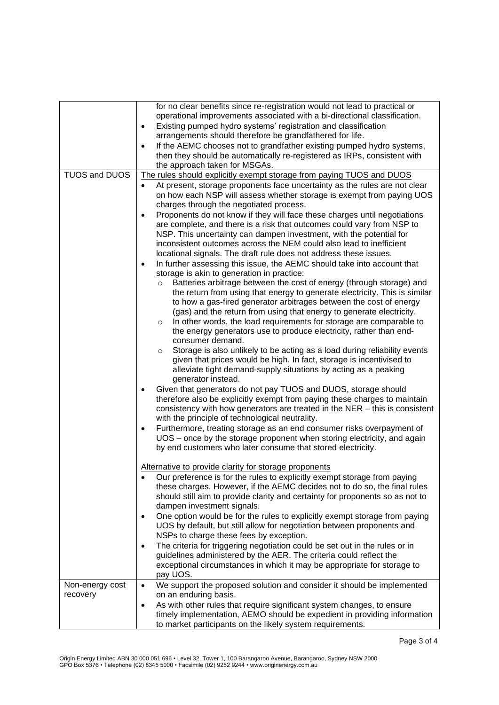|                 | for no clear benefits since re-registration would not lead to practical or<br>operational improvements associated with a bi-directional classification.<br>Existing pumped hydro systems' registration and classification<br>$\bullet$<br>arrangements should therefore be grandfathered for life.<br>If the AEMC chooses not to grandfather existing pumped hydro systems,<br>$\bullet$<br>then they should be automatically re-registered as IRPs, consistent with<br>the approach taken for MSGAs.                                                                                                                                                                                                                                                                                                                                                                                                                                                                                                                                                                                                                                                                                                                                                                                                                                                                                                                                                                  |
|-----------------|------------------------------------------------------------------------------------------------------------------------------------------------------------------------------------------------------------------------------------------------------------------------------------------------------------------------------------------------------------------------------------------------------------------------------------------------------------------------------------------------------------------------------------------------------------------------------------------------------------------------------------------------------------------------------------------------------------------------------------------------------------------------------------------------------------------------------------------------------------------------------------------------------------------------------------------------------------------------------------------------------------------------------------------------------------------------------------------------------------------------------------------------------------------------------------------------------------------------------------------------------------------------------------------------------------------------------------------------------------------------------------------------------------------------------------------------------------------------|
| TUOS and DUOS   | The rules should explicitly exempt storage from paying TUOS and DUOS                                                                                                                                                                                                                                                                                                                                                                                                                                                                                                                                                                                                                                                                                                                                                                                                                                                                                                                                                                                                                                                                                                                                                                                                                                                                                                                                                                                                   |
|                 | At present, storage proponents face uncertainty as the rules are not clear<br>$\bullet$<br>on how each NSP will assess whether storage is exempt from paying UOS<br>charges through the negotiated process.<br>Proponents do not know if they will face these charges until negotiations<br>$\bullet$<br>are complete, and there is a risk that outcomes could vary from NSP to<br>NSP. This uncertainty can dampen investment, with the potential for<br>inconsistent outcomes across the NEM could also lead to inefficient<br>locational signals. The draft rule does not address these issues.<br>In further assessing this issue, the AEMC should take into account that<br>$\bullet$<br>storage is akin to generation in practice:<br>Batteries arbitrage between the cost of energy (through storage) and<br>$\circ$<br>the return from using that energy to generate electricity. This is similar<br>to how a gas-fired generator arbitrages between the cost of energy<br>(gas) and the return from using that energy to generate electricity.<br>In other words, the load requirements for storage are comparable to<br>$\circ$<br>the energy generators use to produce electricity, rather than end-<br>consumer demand.<br>Storage is also unlikely to be acting as a load during reliability events<br>$\circ$<br>given that prices would be high. In fact, storage is incentivised to<br>alleviate tight demand-supply situations by acting as a peaking |
|                 | generator instead.<br>Given that generators do not pay TUOS and DUOS, storage should<br>$\bullet$<br>therefore also be explicitly exempt from paying these charges to maintain<br>consistency with how generators are treated in the NER – this is consistent<br>with the principle of technological neutrality.<br>Furthermore, treating storage as an end consumer risks overpayment of<br>$\bullet$<br>UOS - once by the storage proponent when storing electricity, and again<br>by end customers who later consume that stored electricity.                                                                                                                                                                                                                                                                                                                                                                                                                                                                                                                                                                                                                                                                                                                                                                                                                                                                                                                       |
|                 |                                                                                                                                                                                                                                                                                                                                                                                                                                                                                                                                                                                                                                                                                                                                                                                                                                                                                                                                                                                                                                                                                                                                                                                                                                                                                                                                                                                                                                                                        |
|                 | Alternative to provide clarity for storage proponents<br>Our preference is for the rules to explicitly exempt storage from paying<br>these charges. However, if the AEMC decides not to do so, the final rules<br>should still aim to provide clarity and certainty for proponents so as not to<br>dampen investment signals.<br>One option would be for the rules to explicitly exempt storage from paying<br>$\bullet$<br>UOS by default, but still allow for negotiation between proponents and                                                                                                                                                                                                                                                                                                                                                                                                                                                                                                                                                                                                                                                                                                                                                                                                                                                                                                                                                                     |
|                 | NSPs to charge these fees by exception.<br>The criteria for triggering negotiation could be set out in the rules or in<br>guidelines administered by the AER. The criteria could reflect the<br>exceptional circumstances in which it may be appropriate for storage to<br>pay UOS.                                                                                                                                                                                                                                                                                                                                                                                                                                                                                                                                                                                                                                                                                                                                                                                                                                                                                                                                                                                                                                                                                                                                                                                    |
| Non-energy cost | We support the proposed solution and consider it should be implemented<br>$\bullet$                                                                                                                                                                                                                                                                                                                                                                                                                                                                                                                                                                                                                                                                                                                                                                                                                                                                                                                                                                                                                                                                                                                                                                                                                                                                                                                                                                                    |
| recovery        | on an enduring basis.<br>As with other rules that require significant system changes, to ensure<br>$\bullet$<br>timely implementation, AEMO should be expedient in providing information<br>to market participants on the likely system requirements.                                                                                                                                                                                                                                                                                                                                                                                                                                                                                                                                                                                                                                                                                                                                                                                                                                                                                                                                                                                                                                                                                                                                                                                                                  |